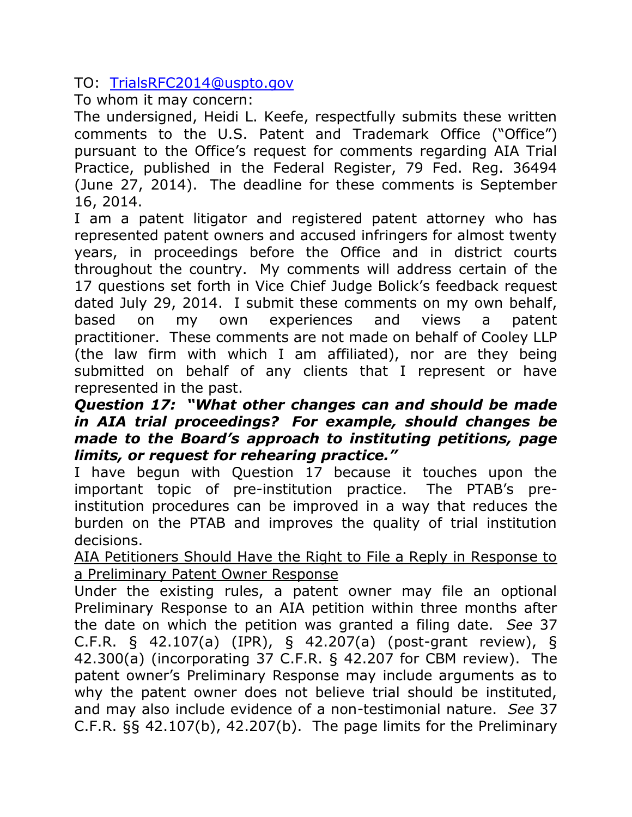TO: [TrialsRFC2014@uspto.gov](mailto:TrialsRFC2014@uspto.gov)

To whom it may concern:

The undersigned, Heidi L. Keefe, respectfully submits these written comments to the U.S. Patent and Trademark Office ("Office") pursuant to the Office's request for comments regarding AIA Trial Practice, published in the Federal Register, 79 Fed. Reg. 36494 (June 27, 2014). The deadline for these comments is September 16, 2014.

I am a patent litigator and registered patent attorney who has represented patent owners and accused infringers for almost twenty years, in proceedings before the Office and in district courts throughout the country. My comments will address certain of the 17 questions set forth in Vice Chief Judge Bolick's feedback request dated July 29, 2014. I submit these comments on my own behalf, based on my own experiences and views a patent practitioner. These comments are not made on behalf of Cooley LLP (the law firm with which I am affiliated), nor are they being submitted on behalf of any clients that I represent or have represented in the past.

# *Question 17: "What other changes can and should be made in AIA trial proceedings? For example, should changes be made to the Board's approach to instituting petitions, page limits, or request for rehearing practice."*

I have begun with Question 17 because it touches upon the important topic of pre-institution practice. The PTAB's preinstitution procedures can be improved in a way that reduces the burden on the PTAB and improves the quality of trial institution decisions.

AIA Petitioners Should Have the Right to File a Reply in Response to a Preliminary Patent Owner Response

Under the existing rules, a patent owner may file an optional Preliminary Response to an AIA petition within three months after the date on which the petition was granted a filing date. *See* 37 C.F.R. § 42.107(a) (IPR), § 42.207(a) (post-grant review), § 42.300(a) (incorporating 37 C.F.R. § 42.207 for CBM review). The patent owner's Preliminary Response may include arguments as to why the patent owner does not believe trial should be instituted, and may also include evidence of a non-testimonial nature. *See* 37 C.F.R. §§ 42.107(b), 42.207(b). The page limits for the Preliminary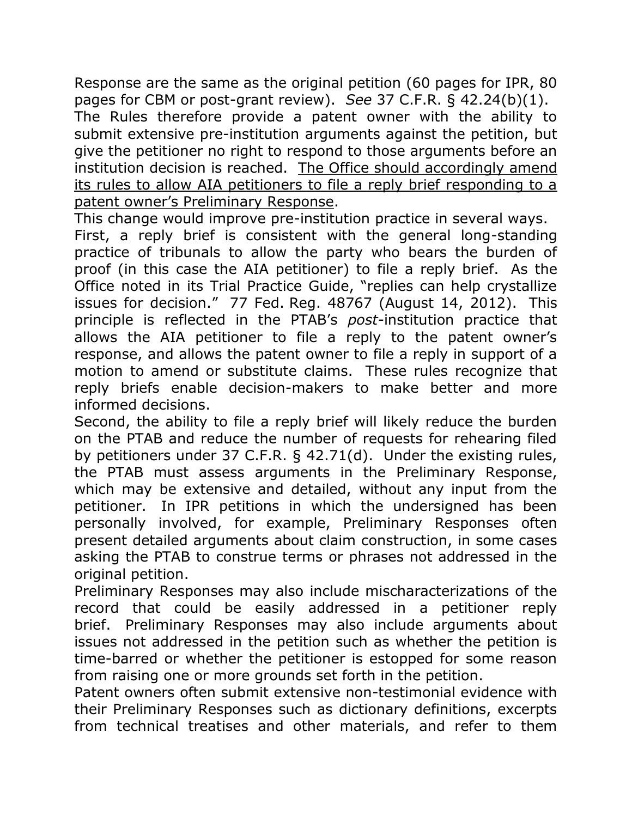Response are the same as the original petition (60 pages for IPR, 80 pages for CBM or post-grant review). *See* 37 C.F.R. § 42.24(b)(1). The Rules therefore provide a patent owner with the ability to submit extensive pre-institution arguments against the petition, but give the petitioner no right to respond to those arguments before an institution decision is reached. The Office should accordingly amend its rules to allow AIA petitioners to file a reply brief responding to a patent owner's Preliminary Response.

This change would improve pre-institution practice in several ways. First, a reply brief is consistent with the general long-standing

practice of tribunals to allow the party who bears the burden of proof (in this case the AIA petitioner) to file a reply brief. As the Office noted in its Trial Practice Guide, "replies can help crystallize issues for decision." 77 Fed. Reg. 48767 (August 14, 2012). This principle is reflected in the PTAB's *post*-institution practice that allows the AIA petitioner to file a reply to the patent owner's response, and allows the patent owner to file a reply in support of a motion to amend or substitute claims. These rules recognize that reply briefs enable decision-makers to make better and more informed decisions.

Second, the ability to file a reply brief will likely reduce the burden on the PTAB and reduce the number of requests for rehearing filed by petitioners under 37 C.F.R. § 42.71(d). Under the existing rules, the PTAB must assess arguments in the Preliminary Response, which may be extensive and detailed, without any input from the petitioner. In IPR petitions in which the undersigned has been personally involved, for example, Preliminary Responses often present detailed arguments about claim construction, in some cases asking the PTAB to construe terms or phrases not addressed in the original petition.

Preliminary Responses may also include mischaracterizations of the record that could be easily addressed in a petitioner reply brief. Preliminary Responses may also include arguments about issues not addressed in the petition such as whether the petition is time-barred or whether the petitioner is estopped for some reason from raising one or more grounds set forth in the petition.

Patent owners often submit extensive non-testimonial evidence with their Preliminary Responses such as dictionary definitions, excerpts from technical treatises and other materials, and refer to them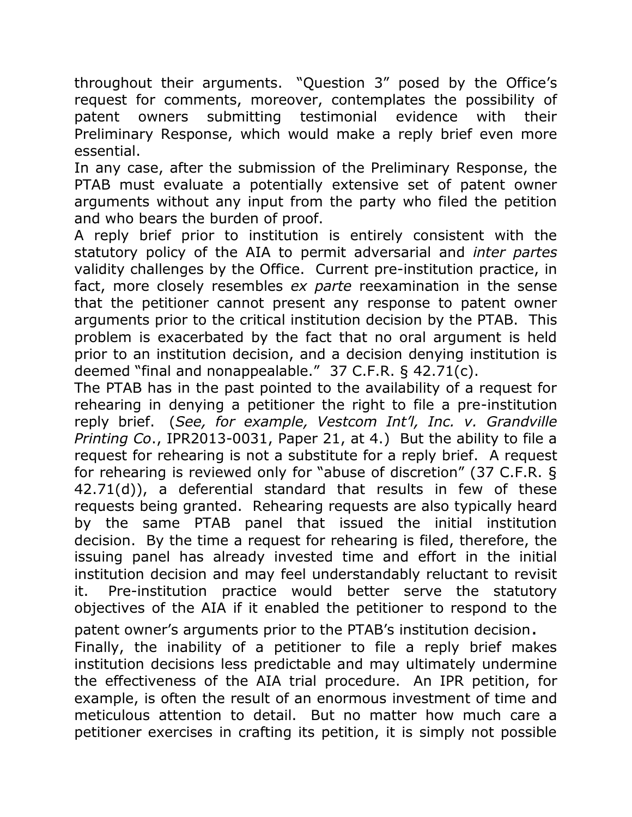throughout their arguments. "Question 3" posed by the Office's request for comments, moreover, contemplates the possibility of patent owners submitting testimonial evidence with their Preliminary Response, which would make a reply brief even more essential.

In any case, after the submission of the Preliminary Response, the PTAB must evaluate a potentially extensive set of patent owner arguments without any input from the party who filed the petition and who bears the burden of proof.

A reply brief prior to institution is entirely consistent with the statutory policy of the AIA to permit adversarial and *inter partes*  validity challenges by the Office. Current pre-institution practice, in fact, more closely resembles *ex parte* reexamination in the sense that the petitioner cannot present any response to patent owner arguments prior to the critical institution decision by the PTAB. This problem is exacerbated by the fact that no oral argument is held prior to an institution decision, and a decision denying institution is deemed "final and nonappealable." 37 C.F.R. § 42.71(c).

The PTAB has in the past pointed to the availability of a request for rehearing in denying a petitioner the right to file a pre-institution reply brief. (*See, for example, Vestcom Int'l, Inc. v. Grandville Printing Co*., IPR2013-0031, Paper 21, at 4.) But the ability to file a request for rehearing is not a substitute for a reply brief. A request for rehearing is reviewed only for "abuse of discretion" (37 C.F.R. § 42.71(d)), a deferential standard that results in few of these requests being granted. Rehearing requests are also typically heard by the same PTAB panel that issued the initial institution decision. By the time a request for rehearing is filed, therefore, the issuing panel has already invested time and effort in the initial institution decision and may feel understandably reluctant to revisit it. Pre-institution practice would better serve the statutory objectives of the AIA if it enabled the petitioner to respond to the

patent owner's arguments prior to the PTAB's institution decision. Finally, the inability of a petitioner to file a reply brief makes institution decisions less predictable and may ultimately undermine the effectiveness of the AIA trial procedure. An IPR petition, for example, is often the result of an enormous investment of time and meticulous attention to detail. But no matter how much care a petitioner exercises in crafting its petition, it is simply not possible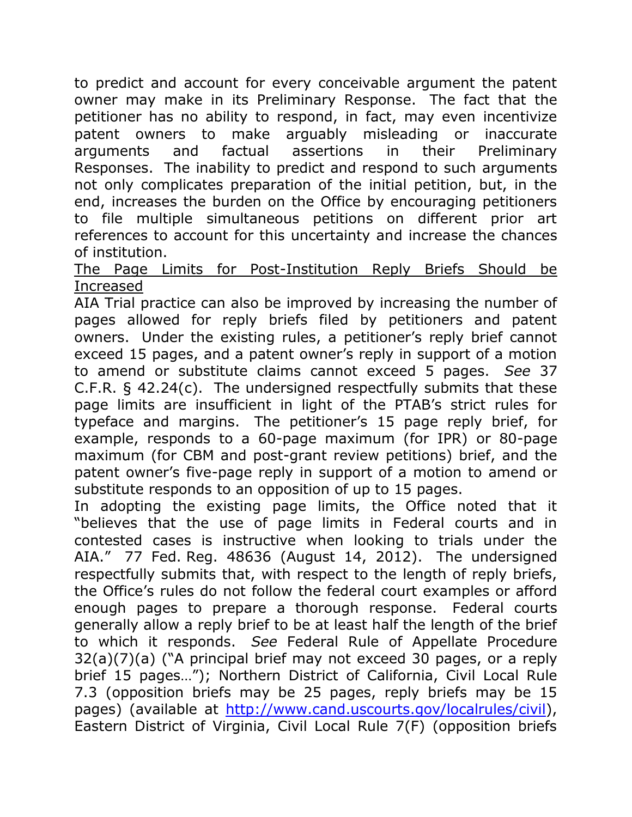to predict and account for every conceivable argument the patent owner may make in its Preliminary Response. The fact that the petitioner has no ability to respond, in fact, may even incentivize patent owners to make arguably misleading or inaccurate arguments and factual assertions in their Preliminary Responses. The inability to predict and respond to such arguments not only complicates preparation of the initial petition, but, in the end, increases the burden on the Office by encouraging petitioners to file multiple simultaneous petitions on different prior art references to account for this uncertainty and increase the chances of institution.

The Page Limits for Post-Institution Reply Briefs Should be Increased

AIA Trial practice can also be improved by increasing the number of pages allowed for reply briefs filed by petitioners and patent owners. Under the existing rules, a petitioner's reply brief cannot exceed 15 pages, and a patent owner's reply in support of a motion to amend or substitute claims cannot exceed 5 pages. *See* 37 C.F.R. § 42.24(c). The undersigned respectfully submits that these page limits are insufficient in light of the PTAB's strict rules for typeface and margins. The petitioner's 15 page reply brief, for example, responds to a 60-page maximum (for IPR) or 80-page maximum (for CBM and post-grant review petitions) brief, and the patent owner's five-page reply in support of a motion to amend or substitute responds to an opposition of up to 15 pages.

In adopting the existing page limits, the Office noted that it "believes that the use of page limits in Federal courts and in contested cases is instructive when looking to trials under the AIA." 77 Fed. Reg. 48636 (August 14, 2012). The undersigned respectfully submits that, with respect to the length of reply briefs, the Office's rules do not follow the federal court examples or afford enough pages to prepare a thorough response. Federal courts generally allow a reply brief to be at least half the length of the brief to which it responds. *See* Federal Rule of Appellate Procedure 32(a)(7)(a) ("A principal brief may not exceed 30 pages, or a reply brief 15 pages…"); Northern District of California, Civil Local Rule 7.3 (opposition briefs may be 25 pages, reply briefs may be 15 pages) (available at [http://www.cand.uscourts.gov/localrules/civil\)](http://www.cand.uscourts.gov/localrules/civil), Eastern District of Virginia, Civil Local Rule 7(F) (opposition briefs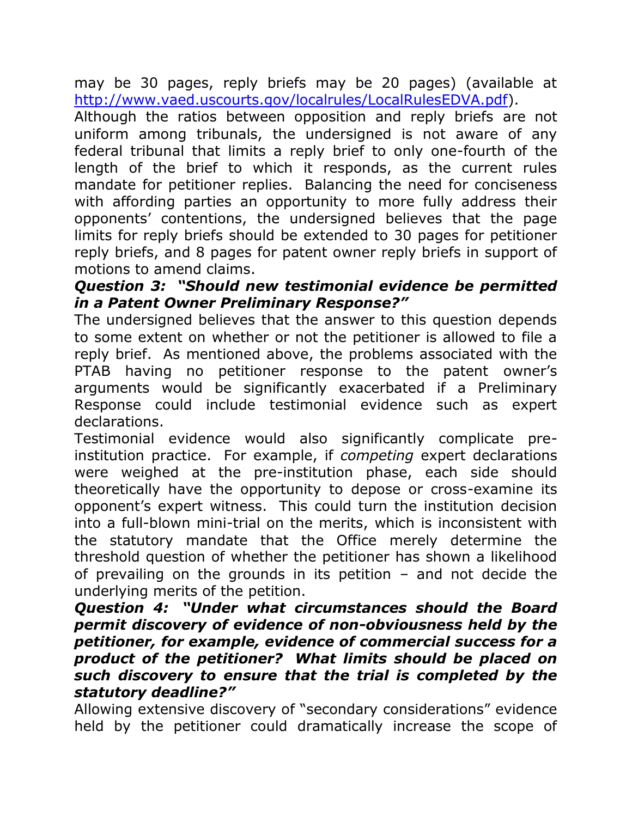may be 30 pages, reply briefs may be 20 pages) (available at [http://www.vaed.uscourts.gov/localrules/LocalRulesEDVA.pdf\)](http://www.vaed.uscourts.gov/localrules/LocalRulesEDVA.pdf).

Although the ratios between opposition and reply briefs are not uniform among tribunals, the undersigned is not aware of any federal tribunal that limits a reply brief to only one-fourth of the length of the brief to which it responds, as the current rules mandate for petitioner replies. Balancing the need for conciseness with affording parties an opportunity to more fully address their opponents' contentions, the undersigned believes that the page limits for reply briefs should be extended to 30 pages for petitioner reply briefs, and 8 pages for patent owner reply briefs in support of motions to amend claims.

# *Question 3: "Should new testimonial evidence be permitted in a Patent Owner Preliminary Response?"*

The undersigned believes that the answer to this question depends to some extent on whether or not the petitioner is allowed to file a reply brief. As mentioned above, the problems associated with the PTAB having no petitioner response to the patent owner's arguments would be significantly exacerbated if a Preliminary Response could include testimonial evidence such as expert declarations.

Testimonial evidence would also significantly complicate preinstitution practice. For example, if *competing* expert declarations were weighed at the pre-institution phase, each side should theoretically have the opportunity to depose or cross-examine its opponent's expert witness. This could turn the institution decision into a full-blown mini-trial on the merits, which is inconsistent with the statutory mandate that the Office merely determine the threshold question of whether the petitioner has shown a likelihood of prevailing on the grounds in its petition – and not decide the underlying merits of the petition.

# *Question 4: "Under what circumstances should the Board permit discovery of evidence of non-obviousness held by the petitioner, for example, evidence of commercial success for a product of the petitioner? What limits should be placed on such discovery to ensure that the trial is completed by the statutory deadline?"*

Allowing extensive discovery of "secondary considerations" evidence held by the petitioner could dramatically increase the scope of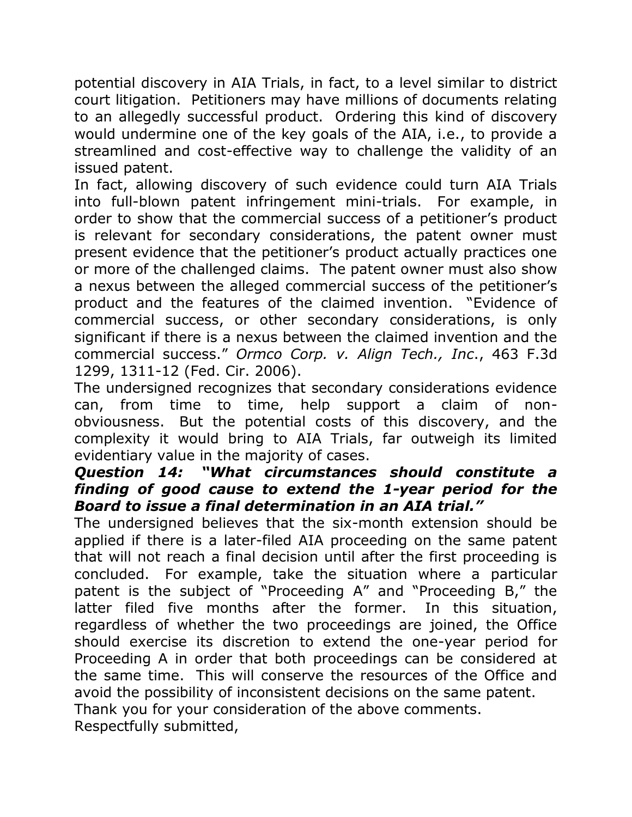potential discovery in AIA Trials, in fact, to a level similar to district court litigation. Petitioners may have millions of documents relating to an allegedly successful product. Ordering this kind of discovery would undermine one of the key goals of the AIA, i.e., to provide a streamlined and cost-effective way to challenge the validity of an issued patent.

In fact, allowing discovery of such evidence could turn AIA Trials into full-blown patent infringement mini-trials. For example, in order to show that the commercial success of a petitioner's product is relevant for secondary considerations, the patent owner must present evidence that the petitioner's product actually practices one or more of the challenged claims. The patent owner must also show a nexus between the alleged commercial success of the petitioner's product and the features of the claimed invention. "Evidence of commercial success, or other secondary considerations, is only significant if there is a nexus between the claimed invention and the commercial success." *Ormco Corp. v. Align Tech., Inc*., 463 F.3d 1299, 1311-12 (Fed. Cir. 2006).

The undersigned recognizes that secondary considerations evidence can, from time to time, help support a claim of nonobviousness. But the potential costs of this discovery, and the complexity it would bring to AIA Trials, far outweigh its limited evidentiary value in the majority of cases.

# *Question 14: "What circumstances should constitute a finding of good cause to extend the 1-year period for the Board to issue a final determination in an AIA trial."*

The undersigned believes that the six-month extension should be applied if there is a later-filed AIA proceeding on the same patent that will not reach a final decision until after the first proceeding is concluded. For example, take the situation where a particular patent is the subject of "Proceeding A" and "Proceeding B," the latter filed five months after the former. In this situation, regardless of whether the two proceedings are joined, the Office should exercise its discretion to extend the one-year period for Proceeding A in order that both proceedings can be considered at the same time. This will conserve the resources of the Office and avoid the possibility of inconsistent decisions on the same patent. Thank you for your consideration of the above comments. Respectfully submitted,